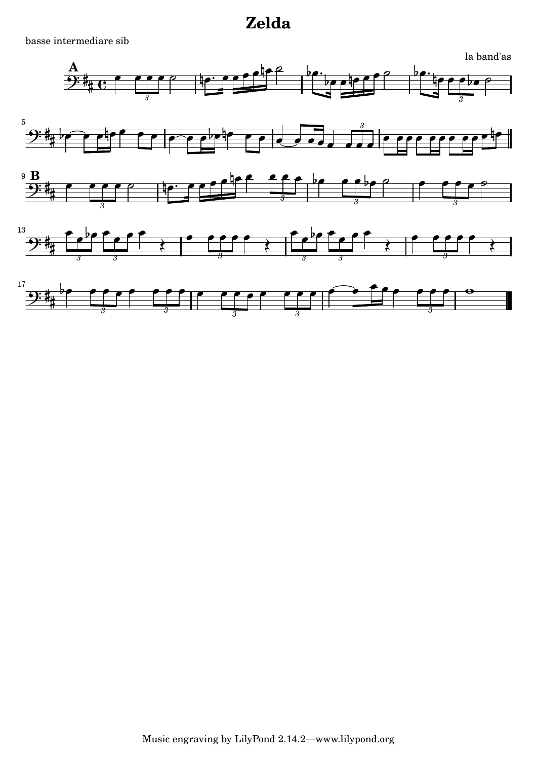basse intermediare sib

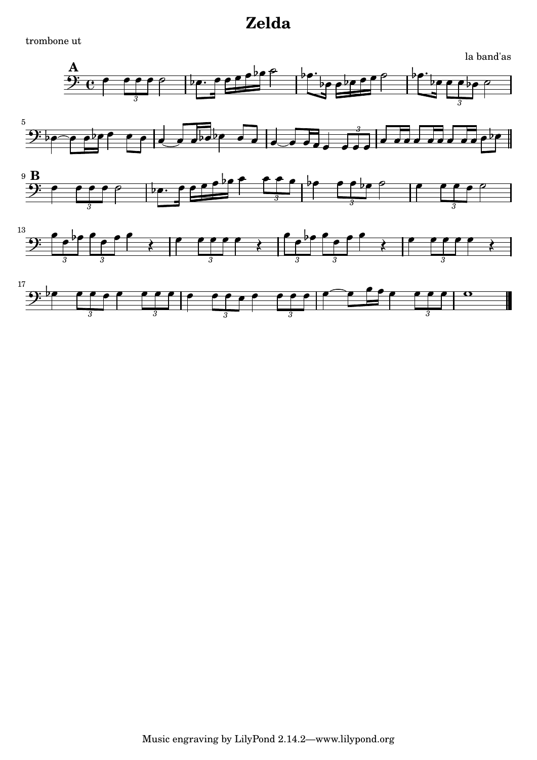trombone ut

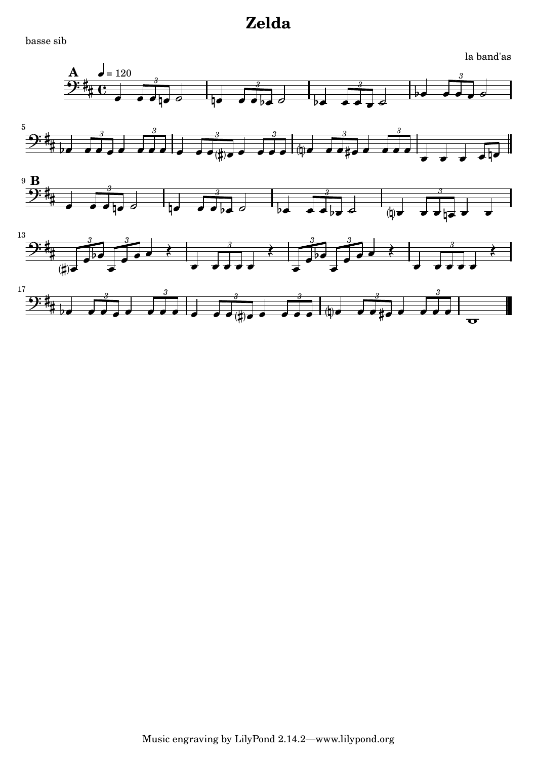basse sib

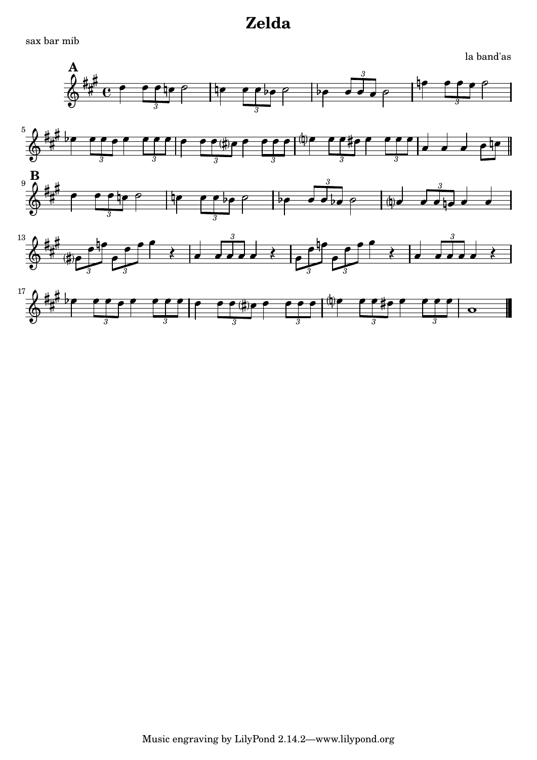sax bar mib

la band'as



Music engraving by LilyPond 2.14.2-www.lilypond.org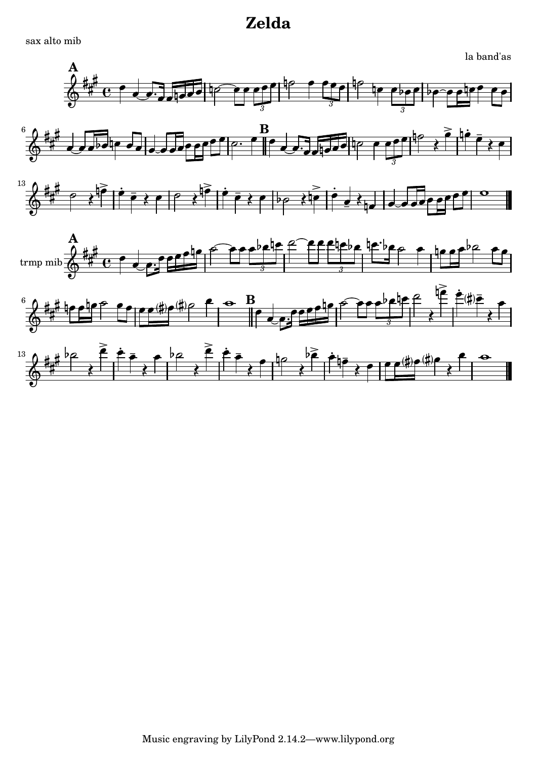sax alto mib

la band'as